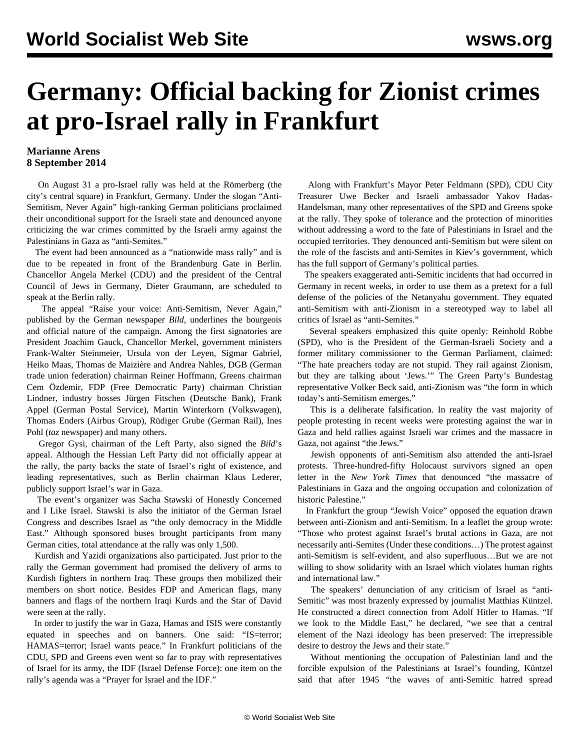## **Germany: Official backing for Zionist crimes at pro-Israel rally in Frankfurt**

## **Marianne Arens 8 September 2014**

 On August 31 a pro-Israel rally was held at the Römerberg (the city's central square) in Frankfurt, Germany. Under the slogan "Anti-Semitism, Never Again" high-ranking German politicians proclaimed their unconditional support for the Israeli state and denounced anyone criticizing the war crimes committed by the Israeli army against the Palestinians in Gaza as "anti-Semites."

 The event had been announced as a "nationwide mass rally" and is due to be repeated in front of the Brandenburg Gate in Berlin. Chancellor Angela Merkel (CDU) and the president of the Central Council of Jews in Germany, Dieter Graumann, are scheduled to speak at the Berlin rally.

 The appeal "Raise your voice: Anti-Semitism, Never Again," published by the German newspaper *Bild,* underlines the bourgeois and official nature of the campaign. Among the first signatories are President Joachim Gauck, Chancellor Merkel, government ministers Frank-Walter Steinmeier, Ursula von der Leyen, Sigmar Gabriel, Heiko Maas, Thomas de Maizière and Andrea Nahles, DGB (German trade union federation) chairman Reiner Hoffmann, Greens chairman Cem Özdemir, FDP (Free Democratic Party) chairman Christian Lindner, industry bosses Jürgen Fitschen (Deutsche Bank), Frank Appel (German Postal Service), Martin Winterkorn (Volkswagen), Thomas Enders (Airbus Group), Rüdiger Grube (German Rail), Ines Pohl (*taz* newspaper) and many others.

 Gregor Gysi, chairman of the Left Party, also signed the *Bild*'s appeal. Although the Hessian Left Party did not officially appear at the rally, the party backs the state of Israel's right of existence, and leading representatives, such as Berlin chairman Klaus Lederer, publicly support Israel's war in Gaza.

 The event's organizer was Sacha Stawski of Honestly Concerned and I Like Israel. Stawski is also the initiator of the German Israel Congress and describes Israel as "the only democracy in the Middle East." Although sponsored buses brought participants from many German cities, total attendance at the rally was only 1,500.

 Kurdish and Yazidi organizations also participated. Just prior to the rally the German government had promised the delivery of arms to Kurdish fighters in northern Iraq. These groups then mobilized their members on short notice. Besides FDP and American flags, many banners and flags of the northern Iraqi Kurds and the Star of David were seen at the rally.

 In order to justify the war in Gaza, Hamas and ISIS were constantly equated in speeches and on banners. One said: "IS=terror; HAMAS=terror; Israel wants peace." In Frankfurt politicians of the CDU, SPD and Greens even went so far to pray with representatives of Israel for its army, the IDF (Israel Defense Force): one item on the rally's agenda was a "Prayer for Israel and the IDF."

 Along with Frankfurt's Mayor Peter Feldmann (SPD), CDU City Treasurer Uwe Becker and Israeli ambassador Yakov Hadas-Handelsman, many other representatives of the SPD and Greens spoke at the rally. They spoke of tolerance and the protection of minorities without addressing a word to the fate of Palestinians in Israel and the occupied territories. They denounced anti-Semitism but were silent on the role of the fascists and anti-Semites in Kiev's government, which has the full support of Germany's political parties.

 The speakers exaggerated anti-Semitic incidents that had occurred in Germany in recent weeks, in order to use them as a pretext for a full defense of the policies of the Netanyahu government. They equated anti-Semitism with anti-Zionism in a stereotyped way to label all critics of Israel as "anti-Semites."

 Several speakers emphasized this quite openly: Reinhold Robbe (SPD), who is the President of the German-Israeli Society and a former military commissioner to the German Parliament, claimed: "The hate preachers today are not stupid. They rail against Zionism, but they are talking about 'Jews.'" The Green Party's Bundestag representative Volker Beck said, anti-Zionism was "the form in which today's anti-Semitism emerges."

 This is a deliberate falsification. In reality the vast majority of people protesting in recent weeks were protesting against the war in Gaza and held rallies against Israeli war crimes and the massacre in Gaza, not against "the Jews."

 Jewish opponents of anti-Semitism also attended the anti-Israel protests. Three-hundred-fifty Holocaust survivors signed an open letter in the *New York Times* that denounced "the massacre of Palestinians in Gaza and the ongoing occupation and colonization of historic Palestine."

 In Frankfurt the group "Jewish Voice" opposed the equation drawn between anti-Zionism and anti-Semitism. In a leaflet the group wrote: "Those who protest against Israel's brutal actions in Gaza, are not necessarily anti-Semites (Under these conditions…) The protest against anti-Semitism is self-evident, and also superfluous…But we are not willing to show solidarity with an Israel which violates human rights and international law."

 The speakers' denunciation of any criticism of Israel as "anti-Semitic" was most brazenly expressed by journalist Matthias Küntzel. He constructed a direct connection from Adolf Hitler to Hamas. "If we look to the Middle East," he declared, "we see that a central element of the Nazi ideology has been preserved: The irrepressible desire to destroy the Jews and their state."

 Without mentioning the occupation of Palestinian land and the forcible expulsion of the Palestinians at Israel's founding, Küntzel said that after 1945 "the waves of anti-Semitic hatred spread